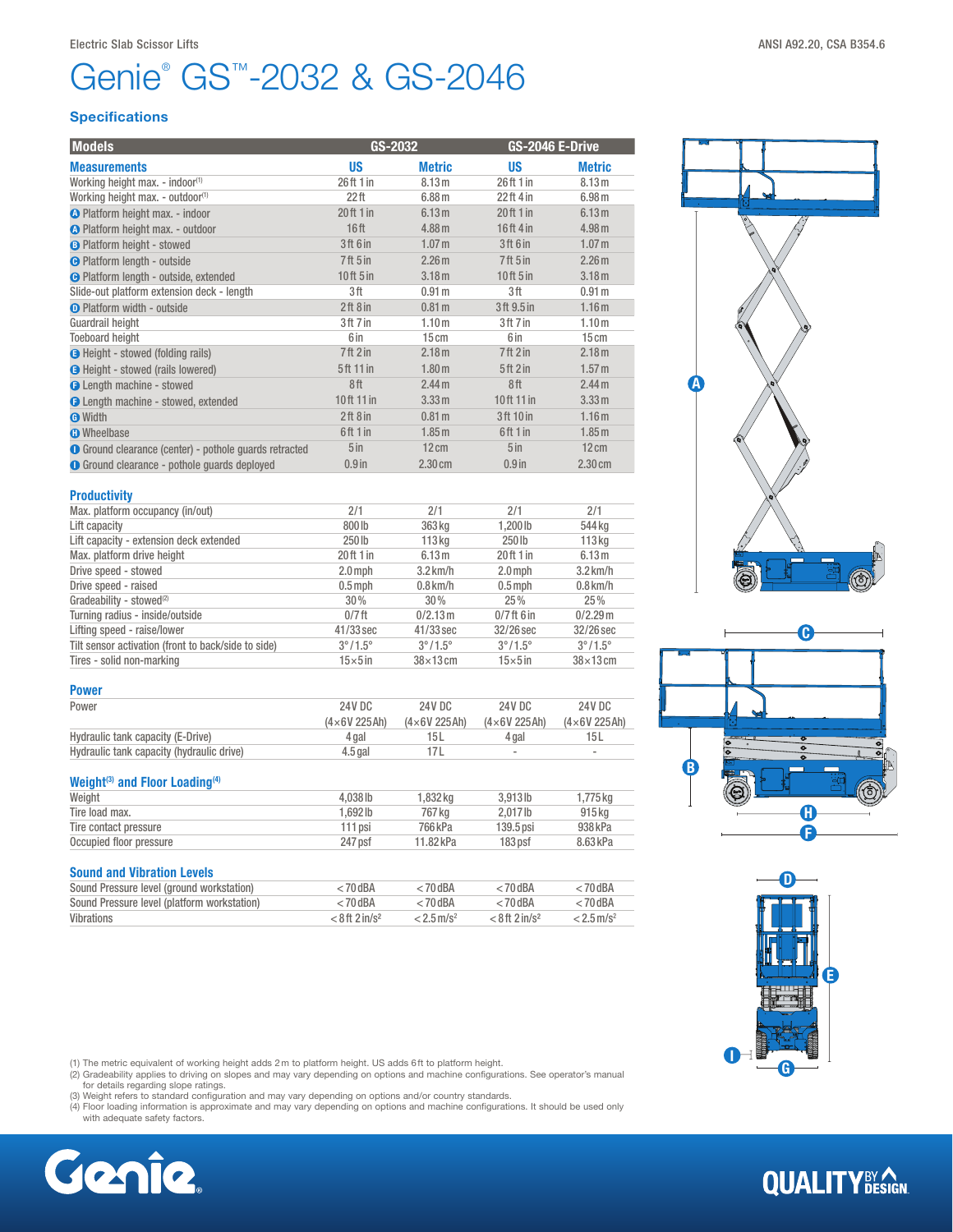# Genie<sup>®</sup> GS<sup>™</sup>-2032 & GS-2046

#### **Specifications**

| <b>Models</b>                                                 | GS-2032              |                   | GS-2046 E-Drive                 |                   |
|---------------------------------------------------------------|----------------------|-------------------|---------------------------------|-------------------|
| <b>Measurements</b>                                           | <b>US</b>            | <b>Metric</b>     | <b>US</b>                       | <b>Metric</b>     |
| Working height max. - indoor <sup>(1)</sup>                   | 26 ft 1 in           | 8.13 <sub>m</sub> | 26ft 1 in                       | 8.13 m            |
| Working height max. - outdoor <sup>(1)</sup>                  | 22 <sup>th</sup>     | 6.88m             | $22ft$ 4 in                     | 6.98 m            |
| O Platform height max. - indoor                               | 20 ft 1 in           | 6.13 <sub>m</sub> | 20ft1in                         | 6.13 <sub>m</sub> |
| O Platform height max. - outdoor                              | 16 <sup>ft</sup>     | 4.88 m            | 16ft 4in                        | 4.98 m            |
| <b>B</b> Platform height - stowed                             | 3ft 6 in             | 1.07 <sub>m</sub> | 3ft 6 in                        | 1.07 <sub>m</sub> |
| <b>O</b> Platform length - outside                            | 7 <sup>ft</sup> 5 in | 2.26 <sub>m</sub> | 7 <sup>ft</sup> 5 <sup>in</sup> | 2.26 <sub>m</sub> |
| <b>O</b> Platform length - outside, extended                  | $10$ ft $5$ in       | 3.18 <sub>m</sub> | 10ft 5in                        | 3.18 <sub>m</sub> |
| Slide-out platform extension deck - length                    | 3ft                  | 0.91 <sub>m</sub> | 3ft                             | 0.91 <sub>m</sub> |
| <b>O</b> Platform width - outside                             | 2ft8in               | 0.81 <sub>m</sub> | 3ft 9.5 in                      | 1.16 <sub>m</sub> |
| Guardrail height                                              | 3ft 7 in             | 1.10 <sub>m</sub> | 3ft 7in                         | 1.10 <sub>m</sub> |
| <b>Toeboard height</b>                                        | 6 in                 | 15cm              | 6 in                            | 15cm              |
| <b>O</b> Height - stowed (folding rails)                      | 7ft2in               | 2.18 <sub>m</sub> | 7ft2in                          | 2.18 <sub>m</sub> |
| <b>O</b> Height - stowed (rails lowered)                      | 5ft 11 in            | 1.80 <sub>m</sub> | 5ft2in                          | 1.57 m            |
| <b>O</b> Length machine - stowed                              | 8ft                  | 2.44 <sub>m</sub> | 8ft                             | 2.44 <sub>m</sub> |
| <b>O</b> Length machine - stowed, extended                    | 10ft 11 in           | 3.33 m            | 10ft 11 in                      | 3.33 m            |
| <b>O</b> Width                                                | 2ft8in               | 0.81 <sub>m</sub> | 3ft 10 in                       | 1.16 <sub>m</sub> |
| <b>n</b> Wheelbase                                            | 6ft 1 in             | 1.85 <sub>m</sub> | 6ft 1 in                        | 1.85 <sub>m</sub> |
| <b>O</b> Ground clearance (center) - pothole guards retracted | 5 <sub>in</sub>      | $12 \text{ cm}$   | 5 <sub>in</sub>                 | $12 \text{ cm}$   |
| <b>O</b> Ground clearance - pothole quards deployed           | $0.9$ in             | $2.30 \text{ cm}$ | $0.9$ in                        | $2.30 \text{ cm}$ |

| <b>Productivity</b>                                 |                         |                         |                         |                         |
|-----------------------------------------------------|-------------------------|-------------------------|-------------------------|-------------------------|
| Max. platform occupancy (in/out)                    | 2/1                     | 2/1                     | 2/1                     | 2/1                     |
| Lift capacity                                       | 800lb                   | 363 kg                  | 1.200 lb                | 544 kg                  |
| Lift capacity - extension deck extended             | 250 lb                  | 113 <sub>kq</sub>       | $250$ lb                | 113 <sub>kq</sub>       |
| Max. platform drive height                          | 20 ft 1 in              | 6.13 <sub>m</sub>       | 20ft1in                 | 6.13 <sub>m</sub>       |
| Drive speed - stowed                                | $2.0$ mph               | $3.2$ km/h              | $2.0$ mph               | $3.2$ km/h              |
| Drive speed - raised                                | $0.5$ mph               | $0.8$ km/h              | $0.5$ mph               | $0.8$ km/h              |
| Gradeability - stowed <sup>(2)</sup>                | $30\%$                  | 30%                     | 25%                     | 25%                     |
| Turning radius - inside/outside                     | $0/7$ ft                | 0/2.13 m                | $0/7$ ft 6 in           | $0/2.29$ m              |
| Lifting speed - raise/lower                         | $41/33$ sec             | $41/33$ sec             | 32/26 sec               | 32/26 sec               |
| Tilt sensor activation (front to back/side to side) | $3^{\circ}/1.5^{\circ}$ | $3^{\circ}/1.5^{\circ}$ | $3^{\circ}/1.5^{\circ}$ | $3^{\circ}/1.5^{\circ}$ |
| Tires - solid non-marking                           | $15\times 5$ in         | $38\times13$ cm         | $15\times 5$ in         | $38\times13$ cm         |

| <b>Power</b>                              |                     |                    |                          |                          |
|-------------------------------------------|---------------------|--------------------|--------------------------|--------------------------|
| Power                                     | 24V DC              | 24V DC             | 24V DC                   | 24V DC                   |
|                                           | $(4\times6V 225Ah)$ | $(4\times6V225Ah)$ | $(4\times6V 225Ah)$      | $(4\times6V 225Ah)$      |
| Hydraulic tank capacity (E-Drive)         | 4 gal               | 15 L               | 4 gal                    | 15 L                     |
| Hydraulic tank capacity (hydraulic drive) | $4.5$ gal           |                    | $\overline{\phantom{a}}$ | $\overline{\phantom{a}}$ |

## Weight<sup>(3)</sup> and Floor Loading<sup>(4)</sup>

| Weight                  | 4.038 lb | .832 ka   | $3.913$ lb  | .775 ka  |
|-------------------------|----------|-----------|-------------|----------|
| Tire load max.          | 1.692 lb | 767 ka    | 2.017lb     | 915 ka   |
| Tire contact pressure   | '11 psi  | 766 kPa   | $139.5$ psi | 938 kPa  |
| Occupied floor pressure | 247 psf  | 11.82 kPa | 183 psf     | 8.63 kPa |
|                         |          |           |             |          |

## **Sound and Vibration Levels**<br>Sound Preseure level (ground werketpier)

| Sound Pressure level (ground workstation)   | $<$ 70 dBA                   | $< 70$ dBA               | ∠ 70 dBA                       | : 70 dBA                 |
|---------------------------------------------|------------------------------|--------------------------|--------------------------------|--------------------------|
| Sound Pressure level (platform workstation) | ∠ 70 dBA                     | $< 70$ dBA               | $<$ 70 dBA                     | $<$ 70 dBA               |
| Vibrations                                  | $< 8$ ft 2 in/s <sup>2</sup> | $< 2.5$ m/s <sup>2</sup> | $< 8$ ft $2$ in/s <sup>2</sup> | $< 2.5$ m/s <sup>2</sup> |

(1) The metric equivalent of working height adds 2m to platform height. US adds 6ft to platform height.

(2) Gradeability applies to driving on slopes and may vary depending on options and machine configurations. See operator's manual<br>for details regarding slope ratings.<br>(3) Weight refers to standard configuration and may var

- 
- (4) Floor loading information is approximate and may vary depending on options and machine configurations. It should be used only with adequate safety factors.









# **QUALITY**BY AGN